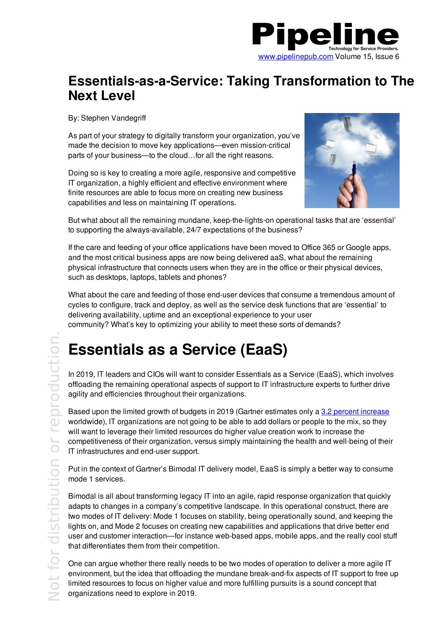

### **Essentials-as-a-Service: Taking Transformation to The Next Level**

By: Stephen Vandegriff

As part of your strategy to digitally transform your organization, you've made the decision to move key applications—even mission-critical parts of your business—to the cloud…for all the right reasons.

Doing so is key to creating a more agile, responsive and competitive IT organization, a highly efficient and effective environment where finite resources are able to focus more on creating new business capabilities and less on maintaining IT operations.



But what about all the remaining mundane, keep-the-lights-on operational tasks that are 'essential' to supporting the always-available, 24/7 expectations of the business?

If the care and feeding of your office applications have been moved to Office 365 or Google apps, and the most critical business apps are now being delivered aaS, what about the remaining physical infrastructure that connects users when they are in the office or their physical devices, such as desktops, laptops, tablets and phones?

What about the care and feeding of those end-user devices that consume a tremendous amount of cycles to configure, track and deploy, as well as the service desk functions that are 'essential' to delivering availability, uptime and an exceptional experience to your user community? What's key to optimizing your ability to meet these sorts of demands?

# **Essentials as a Service (EaaS)**

In 2019, IT leaders and CIOs will want to consider Essentials as a Service (EaaS), which involves offloading the remaining operational aspects of support to IT infrastructure experts to further drive agility and efficiencies throughout their organizations.

Based upon the limited growth of budgets in 2019 (Gartner estimates only a 3.2 percent increase worldwide), IT organizations are not going to be able to add dollars or people to the mix, so they will want to leverage their limited resources do higher value creation work to increase the competitiveness of their organization, versus simply maintaining the health and well-being of their IT infrastructures and end-user support.

Put in the context of Gartner's Bimodal IT delivery model, EaaS is simply a better way to consume mode 1 services.

Bimodal is all about transforming legacy IT into an agile, rapid response organization that quickly adapts to changes in a company's competitive landscape. In this operational construct, there are two modes of IT delivery: Mode 1 focuses on stability, being operationally sound, and keeping the lights on, and Mode 2 focuses on creating new capabilities and applications that drive better end user and customer interaction—for instance web-based apps, mobile apps, and the really cool stuff that differentiates them from their competition.

One can argue whether there really needs to be two modes of operation to deliver a more agile IT environment, but the idea that offloading the mundane break-and-fix aspects of IT support to free up limited resources to focus on higher value and more fulfilling pursuits is a sound concept that  $\ge$  organizations need to explore in 2019.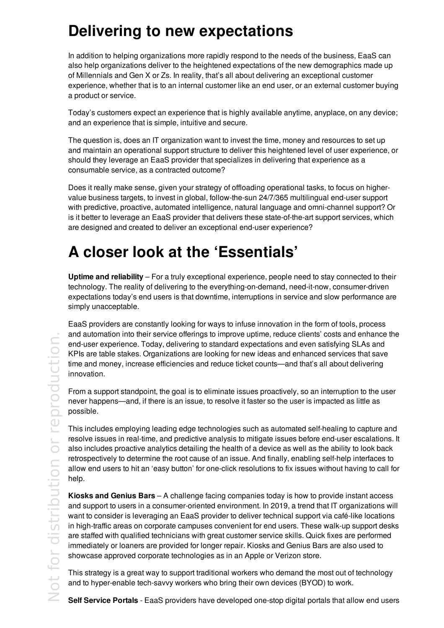## **Delivering to new expectations**

In addition to helping organizations more rapidly respond to the needs of the business, EaaS can also help organizations deliver to the heightened expectations of the new demographics made up of Millennials and Gen X or Zs. In reality, that's all about delivering an exceptional customer experience, whether that is to an internal customer like an end user, or an external customer buying a product or service.

Today's customers expect an experience that is highly available anytime, anyplace, on any device; and an experience that is simple, intuitive and secure.

The question is, does an IT organization want to invest the time, money and resources to set up and maintain an operational support structure to deliver this heightened level of user experience, or should they leverage an EaaS provider that specializes in delivering that experience as a consumable service, as a contracted outcome?

Does it really make sense, given your strategy of offloading operational tasks, to focus on highervalue business targets, to invest in global, follow-the-sun 24/7/365 multilingual end-user support with predictive, proactive, automated intelligence, natural language and omni-channel support? Or is it better to leverage an EaaS provider that delivers these state-of-the-art support services, which are designed and created to deliver an exceptional end-user experience?

# **A closer look at the 'Essentials'**

**Uptime and reliability** – For a truly exceptional experience, people need to stay connected to their technology. The reality of delivering to the everything-on-demand, need-it-now, consumer-driven expectations today's end users is that downtime, interruptions in service and slow performance are simply unacceptable.

EaaS providers are constantly looking for ways to infuse innovation in the form of tools, process and automation into their service offerings to improve uptime, reduce clients' costs and enhance the end-user experience. Today, delivering to standard expectations and even satisfying SLAs and KPIs are table stakes. Organizations are looking for new ideas and enhanced services that save time and money, increase efficiencies and reduce ticket counts—and that's all about delivering innovation.

From a support standpoint, the goal is to eliminate issues proactively, so an interruption to the user never happens—and, if there is an issue, to resolve it faster so the user is impacted as little as possible.

This includes employing leading edge technologies such as automated self-healing to capture and resolve issues in real-time, and predictive analysis to mitigate issues before end-user escalations. It also includes proactive analytics detailing the health of a device as well as the ability to look back retrospectively to determine the root cause of an issue. And finally, enabling self-help interfaces to allow end users to hit an 'easy button' for one-click resolutions to fix issues without having to call for help.

**Kiosks and Genius Bars** – A challenge facing companies today is how to provide instant access and support to users in a consumer-oriented environment. In 2019, a trend that IT organizations will want to consider is leveraging an EaaS provider to deliver technical support via café-like locations in high-traffic areas on corporate campuses convenient for end users. These walk-up support desks are staffed with qualified technicians with great customer service skills. Quick fixes are performed immediately or loaners are provided for longer repair. Kiosks and Genius Bars are also used to showcase approved corporate technologies as in an Apple or Verizon store.

This strategy is a great way to support traditional workers who demand the most out of technology and to hyper-enable tech-savvy workers who bring their own devices (BYOD) to work.